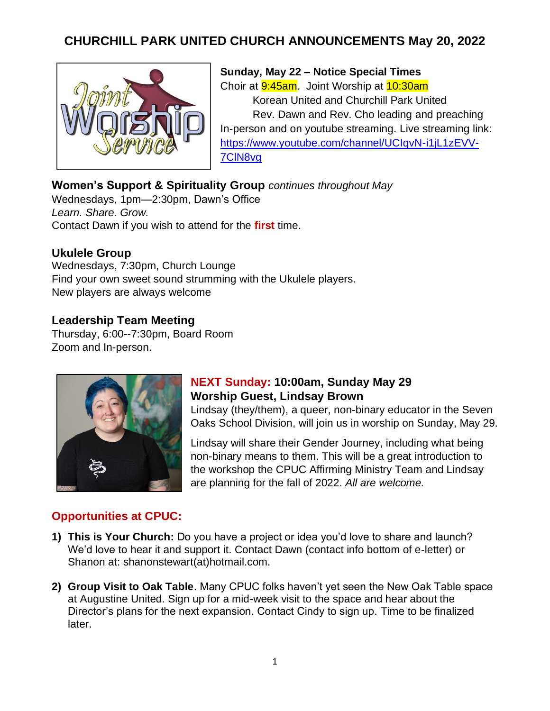# **CHURCHILL PARK UNITED CHURCH ANNOUNCEMENTS May 20, 2022**



**Sunday, May 22 – Notice Special Times** Choir at 9:45am. Joint Worship at 10:30am Korean United and Churchill Park United Rev. Dawn and Rev. Cho leading and preaching In-person and on youtube streaming. Live streaming link: [https://www.youtube.com/channel/UCIqvN-i1jL1zEVV-](https://www.youtube.com/channel/UCIqvN-i1jL1zEVV-7ClN8vg)[7ClN8vg](https://www.youtube.com/channel/UCIqvN-i1jL1zEVV-7ClN8vg)

### **Women's Support & Spirituality Group** *continues throughout May*

Wednesdays, 1pm—2:30pm, Dawn's Office *Learn. Share. Grow.*  Contact Dawn if you wish to attend for the **first** time.

#### **Ukulele Group**

Wednesdays, 7:30pm, Church Lounge Find your own sweet sound strumming with the Ukulele players. New players are always welcome

#### **Leadership Team Meeting**

Thursday, 6:00--7:30pm, Board Room Zoom and In-person.



### **NEXT Sunday: 10:00am, Sunday May 29 Worship Guest, Lindsay Brown**

Lindsay (they/them), a queer, non-binary educator in the Seven Oaks School Division, will join us in worship on Sunday, May 29.

Lindsay will share their Gender Journey, including what being non-binary means to them. This will be a great introduction to the workshop the CPUC Affirming Ministry Team and Lindsay are planning for the fall of 2022. *All are welcome.*

### **Opportunities at CPUC:**

- **1) This is Your Church:** Do you have a project or idea you'd love to share and launch? We'd love to hear it and support it. Contact Dawn (contact info bottom of e-letter) or Shanon at: shanonstewart(at)hotmail.com.
- **2) Group Visit to Oak Table**. Many CPUC folks haven't yet seen the New Oak Table space at Augustine United. Sign up for a mid-week visit to the space and hear about the Director's plans for the next expansion. Contact Cindy to sign up. Time to be finalized later.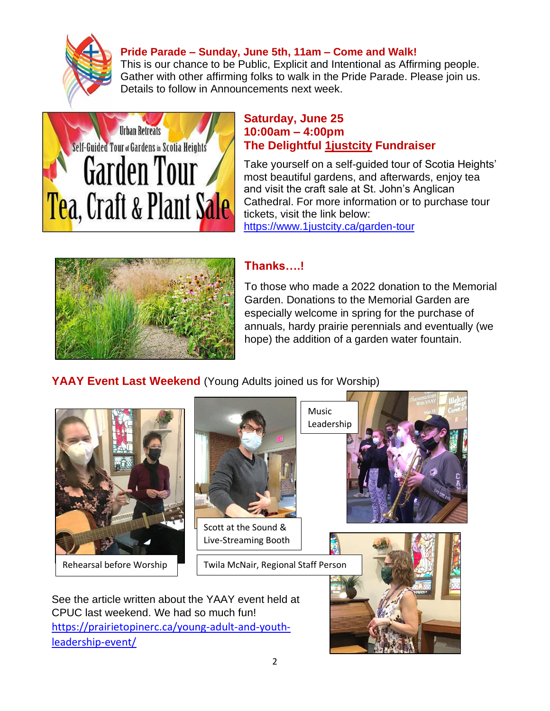

#### **Pride Parade – Sunday, June 5th, 11am – Come and Walk!**

This is our chance to be Public, Explicit and Intentional as Affirming people. Gather with other affirming folks to walk in the Pride Parade. Please join us. Details to follow in Announcements next week.



#### **Saturday, June 25 10:00am – 4:00pm The Delightful 1justcity Fundraiser**

Take yourself on a self-guided tour of Scotia Heights' most beautiful gardens, and afterwards, enjoy tea and visit the craft sale at St. John's Anglican Cathedral. For more information or to purchase tour tickets, visit the link below: <https://www.1justcity.ca/garden-tour>



### **Thanks….!**

To those who made a 2022 donation to the Memorial Garden. Donations to the Memorial Garden are especially welcome in spring for the purchase of annuals, hardy prairie perennials and eventually (we hope) the addition of a garden water fountain.

# **YAAY Event Last Weekend** (Young Adults joined us for Worship)